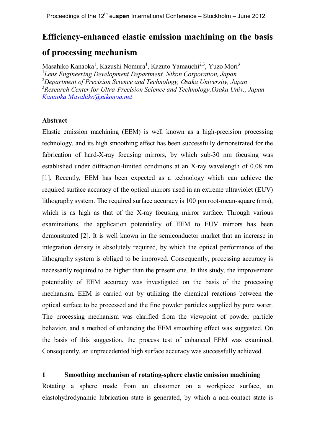# **Efficiency-enhanced elastic emission machining on the basis**

# **of processing mechanism**

Masahiko Kanaoka<sup>1</sup>, Kazushi Nomura<sup>1</sup>, Kazuto Yamauchi<sup>2,3</sup>, Yuzo Mori<sup>3</sup> 1 *Lens Engineering Development Department, Nikon Corporation, Japan* <sup>2</sup>*Department of Precision Science and Technology, Osaka University, Japan* <sup>3</sup>*Research Center for Ultra-Precision Science and Technology,Osaka Univ., Japan Kanaoka.Masahiko@nikonoa.net*

## **Abstract**

Elastic emission machining (EEM) is well known as a high-precision processing technology, and its high smoothing effect has been successfully demonstrated for the fabrication of hard-X-ray focusing mirrors, by which sub-30 nm focusing was established under diffraction-limited conditions at an X-ray wavelength of 0.08 nm [1]. Recently, EEM has been expected as a technology which can achieve the required surface accuracy of the optical mirrors used in an extreme ultraviolet (EUV) lithography system. The required surface accuracy is 100 pm root-mean-square (rms), which is as high as that of the X-ray focusing mirror surface. Through various examinations, the application potentiality of EEM to EUV mirrors has been demonstrated [2]. It is well known in the semiconductor market that an increase in integration density is absolutely required, by which the optical performance of the lithography system is obliged to be improved. Consequently, processing accuracy is necessarily required to be higher than the present one. In this study, the improvement potentiality of EEM accuracy was investigated on the basis of the processing mechanism. EEM is carried out by utilizing the chemical reactions between the optical surface to be processed and the fine powder particles supplied by pure water. The processing mechanism was clarified from the viewpoint of powder particle behavior, and a method of enhancing the EEM smoothing effect was suggested. On the basis of this suggestion, the process test of enhanced EEM was examined. Consequently, an unprecedented high surface accuracy was successfully achieved.

# **1 Smoothing mechanism of rotating-sphere elastic emission machining**

Rotating a sphere made from an elastomer on a workpiece surface, an elastohydrodynamic lubrication state is generated, by which a non-contact state is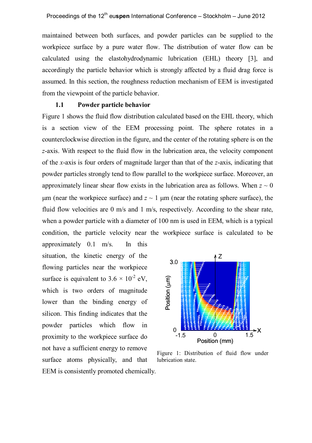maintained between both surfaces, and powder particles can be supplied to the workpiece surface by a pure water flow. The distribution of water flow can be calculated using the elastohydrodynamic lubrication (EHL) theory [3], and accordingly the particle behavior which is strongly affected by a fluid drag force is assumed. In this section, the roughness reduction mechanism of EEM is investigated from the viewpoint of the particle behavior.

#### **1.1 Powder particle behavior**

Figure 1 shows the fluid flow distribution calculated based on the EHL theory, which is a section view of the EEM processing point. The sphere rotates in a counterclockwise direction in the figure, and the center of the rotating sphere is on the *z*-axis. With respect to the fluid flow in the lubrication area, the velocity component of the *x*-axis is four orders of magnitude larger than that of the *z*-axis, indicating that powder particles strongly tend to flow parallel to the workpiece surface. Moreover, an approximately linear shear flow exists in the lubrication area as follows. When  $z \sim 0$ um (near the workpiece surface) and  $z \sim 1$  um (near the rotating sphere surface), the fluid flow velocities are 0 m/s and 1 m/s, respectively. According to the shear rate, when a powder particle with a diameter of 100 nm is used in EEM, which is a typical condition, the particle velocity near the workpiece surface is calculated to be

approximately 0.1 m/s. In this situation, the kinetic energy of the flowing particles near the workpiece surface is equivalent to  $3.6 \times 10^{2}$  eV. which is two orders of magnitude lower than the binding energy of silicon. This finding indicates that the powder particles which flow in proximity to the workpiece surface do not have a sufficient energy to remove surface atoms physically, and that EEM is consistently promoted chemically.



Figure 1: Distribution of fluid flow under lubrication state.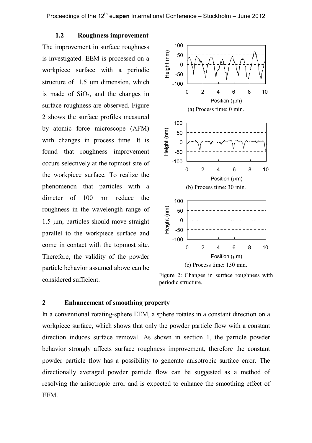**1.2 Roughness improvement** The improvement in surface roughness is investigated. EEM is processed on a workpiece surface with a periodic structure of  $1.5 \text{ µm}$  dimension, which is made of  $SiO<sub>2</sub>$ , and the changes in surface roughness are observed. Figure 2 shows the surface profiles measured by atomic force microscope (AFM) with changes in process time. It is found that roughness improvement occurs selectively at the topmost site of the workpiece surface. To realize the phenomenon that particles with a dimeter of 100 nm reduce the roughness in the wavelength range of 1.5 µm, particles should move straight parallel to the workpiece surface and come in contact with the topmost site. Therefore, the validity of the powder particle behavior assumed above can be considered sufficient.



Figure 2: Changes in surface roughness with periodic structure.

# **2 Enhancement of smoothing property**

In a conventional rotating-sphere EEM, a sphere rotates in a constant direction on a workpiece surface, which shows that only the powder particle flow with a constant direction induces surface removal. As shown in section 1, the particle powder behavior strongly affects surface roughness improvement, therefore the constant powder particle flow has a possibility to generate anisotropic surface error. The directionally averaged powder particle flow can be suggested as a method of resolving the anisotropic error and is expected to enhance the smoothing effect of EEM.